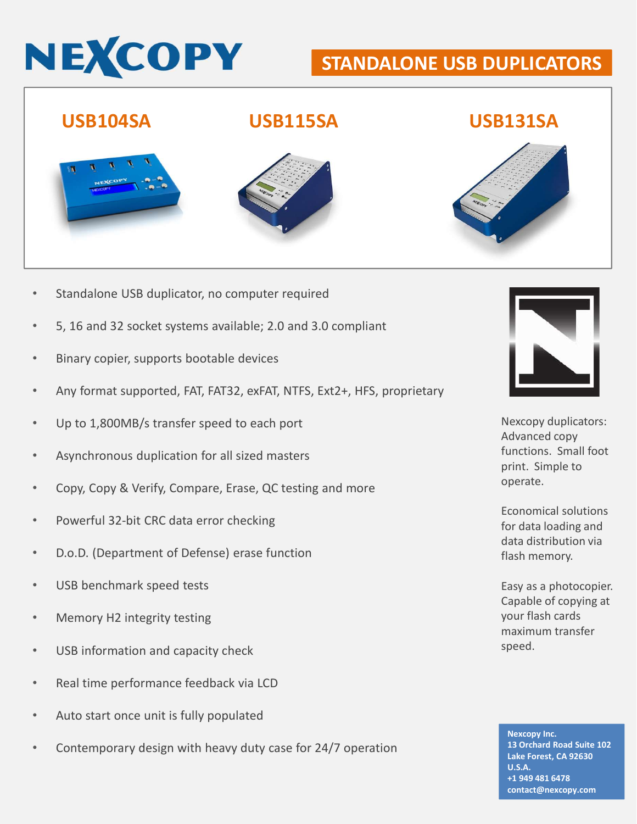# NEXCOPY

# STANDALONE USB DUPLICATORS

### USB104SA USB115SA USB131SA



- Standalone USB duplicator, no computer required
- 5, 16 and 32 socket systems available; 2.0 and 3.0 compliant
- Binary copier, supports bootable devices
- Any format supported, FAT, FAT32, exFAT, NTFS, Ext2+, HFS, proprietary
- Up to 1,800MB/s transfer speed to each port
- Asynchronous duplication for all sized masters
- Copy, Copy & Verify, Compare, Erase, QC testing and more
- Powerful 32-bit CRC data error checking
- D.o.D. (Department of Defense) erase function
- USB benchmark speed tests
- Memory H2 integrity testing
- USB information and capacity check
- Real time performance feedback via LCD
- Auto start once unit is fully populated
- Contemporary design with heavy duty case for 24/7 operation



Nexcopy duplicators: Advanced copy functions. Small foot print. Simple to operate.

Economical solutions for data loading and data distribution via flash memory.

Easy as a photocopier. Capable of copying at your flash cards maximum transfer speed.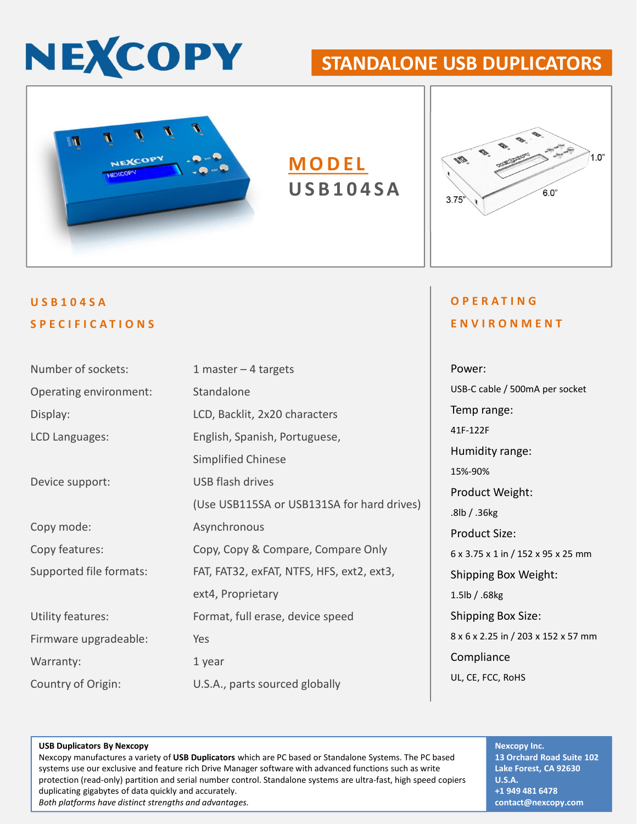## STANDALONE USB DUPLICATORS





| <b>W</b><br><b>XCOPY</b>                     | <b>MODEL</b><br><b>USB104SA</b>                                                                          | $\begin{picture}(20,5) \put(0,0){\line(1,0){10}} \put(15,0){\line(1,0){10}} \put(15,0){\line(1,0){10}} \put(15,0){\line(1,0){10}} \put(15,0){\line(1,0){10}} \put(15,0){\line(1,0){10}} \put(15,0){\line(1,0){10}} \put(15,0){\line(1,0){10}} \put(15,0){\line(1,0){10}} \put(15,0){\line(1,0){10}} \put(15,0){\line(1,0){10}} \put(15,0){\line(1,$<br><b>Be</b><br>3.75 |
|----------------------------------------------|----------------------------------------------------------------------------------------------------------|--------------------------------------------------------------------------------------------------------------------------------------------------------------------------------------------------------------------------------------------------------------------------------------------------------------------------------------------------------------------------|
| <b>USB104SA</b><br><b>SPECIFICATIONS</b>     |                                                                                                          | OPERATING<br><b>ENVIRONM</b>                                                                                                                                                                                                                                                                                                                                             |
| Number of sockets:<br>Operating environment: | 1 master $-$ 4 targets<br>Standalone                                                                     | Power:<br>USB-C cable / 500m/                                                                                                                                                                                                                                                                                                                                            |
| Display:<br>LCD Languages:                   | LCD, Backlit, 2x20 characters<br>English, Spanish, Portuguese,<br><b>Simplified Chinese</b>              | Temp range:<br>41F-122F<br>Humidity range:                                                                                                                                                                                                                                                                                                                               |
| Device support:                              | <b>USB flash drives</b><br>(Use USB115SA or USB131SA for hard drives)                                    | 15%-90%<br>Product Weight:<br>.8lb / .36kg                                                                                                                                                                                                                                                                                                                               |
| Copy mode:                                   | Asynchronous                                                                                             | <b>Product Size:</b>                                                                                                                                                                                                                                                                                                                                                     |
| Copy features:                               | Copy, Copy & Compare, Compare Only                                                                       | 6 x 3.75 x 1 in / 152                                                                                                                                                                                                                                                                                                                                                    |
| Supported file formats:                      | FAT, FAT32, exFAT, NTFS, HFS, ext2, ext3,<br>ext4, Proprietary                                           | Shipping Box We<br>1.5 $b/0.68$ kg                                                                                                                                                                                                                                                                                                                                       |
| <b>Utility features:</b>                     | Format, full erase, device speed                                                                         | <b>Shipping Box Size</b>                                                                                                                                                                                                                                                                                                                                                 |
| Firmware upgradeable:                        | Yes                                                                                                      | 8 x 6 x 2.25 in / 203                                                                                                                                                                                                                                                                                                                                                    |
| Warranty:                                    | 1 year                                                                                                   | Compliance                                                                                                                                                                                                                                                                                                                                                               |
| Country of Origin:                           | U.S.A., parts sourced globally                                                                           | UL, CE, FCC, RoHS                                                                                                                                                                                                                                                                                                                                                        |
| <b>USB Duplicators By Nexcopy</b>            | Nexcopy manufactures a variety of USB Duplicators which are PC based or Standalone Systems. The PC based | <b>Nexcopy In</b><br>13 Orchard                                                                                                                                                                                                                                                                                                                                          |

Power: USB-C cable / 500mA per socket Temp range: 41F-122F Humidity range: 15%-90% Product Weight: .8lb / .36kg Product Size: 6 x 3.75 x 1 in / 152 x 95 x 25 mm Shipping Box Weight: 1.5lb / .68kg Shipping Box Size: 8 x 6 x 2.25 in / 203 x 152 x 57 mm Compliance UL, CE, FCC, RoHS

### USB Duplicators By Nexcopy

Nexcopy manufactures a variety of USB Duplicators which are PC based or Standalone Systems. The PC based systems use our exclusive and feature rich Drive Manager software with advanced functions such as write protection (read-only) partition and serial number control. Standalone systems are ultra-fast, high speed copiers duplicating gigabytes of data quickly and accurately. Both platforms have distinct strengths and advantages.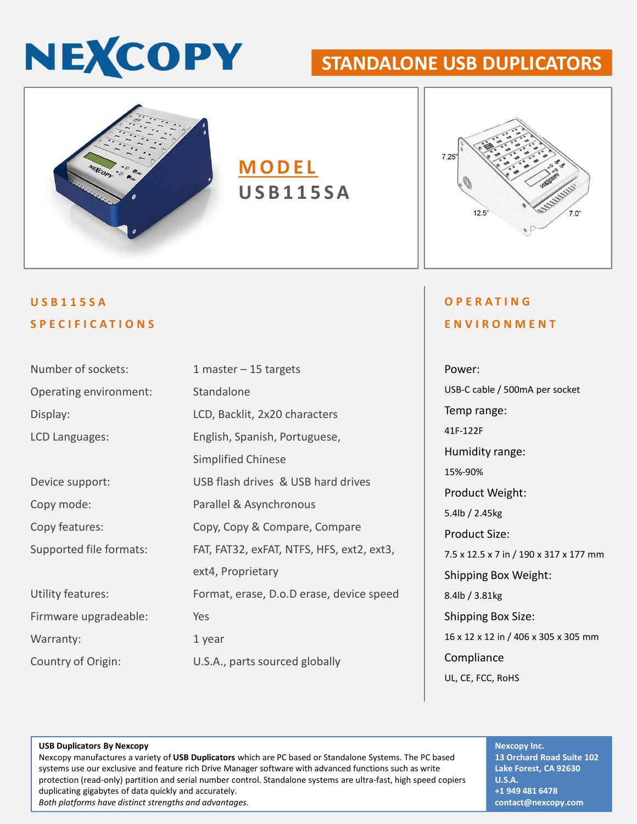## STANDALONE USB DUPLICATORS





### Power:

| EXCOPY                                   | <b>MODEL</b><br><b>USB115SA</b>           | 7.25<br>12.5"<br>7.0"                  |
|------------------------------------------|-------------------------------------------|----------------------------------------|
| <b>USB115SA</b><br><b>SPECIFICATIONS</b> |                                           | OPERATING<br><b>ENVIRONMENT</b>        |
| Number of sockets:                       | 1 master $-$ 15 targets                   | Power:                                 |
| Operating environment:                   | Standalone                                | USB-C cable / 500mA per socket         |
| Display:                                 | LCD, Backlit, 2x20 characters             | Temp range:                            |
| LCD Languages:                           | English, Spanish, Portuguese,             | 41F-122F                               |
|                                          | Simplified Chinese                        | Humidity range:                        |
| Device support:                          | USB flash drives & USB hard drives        | 15%-90%                                |
| Copy mode:                               | Parallel & Asynchronous                   | Product Weight:                        |
| Copy features:                           | Copy, Copy & Compare, Compare             | 5.4lb / 2.45kg<br><b>Product Size:</b> |
| Supported file formats:                  | FAT, FAT32, exFAT, NTFS, HFS, ext2, ext3, | 7.5 x 12.5 x 7 in / 190 x 317 x 177 mm |
|                                          | ext4, Proprietary                         | Shipping Box Weight:                   |
| Utility features:                        | Format, erase, D.o.D erase, device speed  | 8.4lb / 3.81kg                         |
| Firmware upgradeable:                    | Yes                                       | <b>Shipping Box Size:</b>              |
| Warranty:                                | 1 year                                    | 16 x 12 x 12 in / 406 x 305 x 305 mm   |
| Country of Origin:                       | U.S.A., parts sourced globally            | Compliance                             |
|                                          |                                           | UL, CE, FCC, RoHS                      |

USB Duplicators By Nexcopy

Nexcopy manufactures a variety of USB Duplicators which are PC based or Standalone Systems. The PC based systems use our exclusive and feature rich Drive Manager software with advanced functions such as write protection (read-only) partition and serial number control. Standalone systems are ultra-fast, high speed copiers duplicating gigabytes of data quickly and accurately. Both platforms have distinct strengths and advantages.